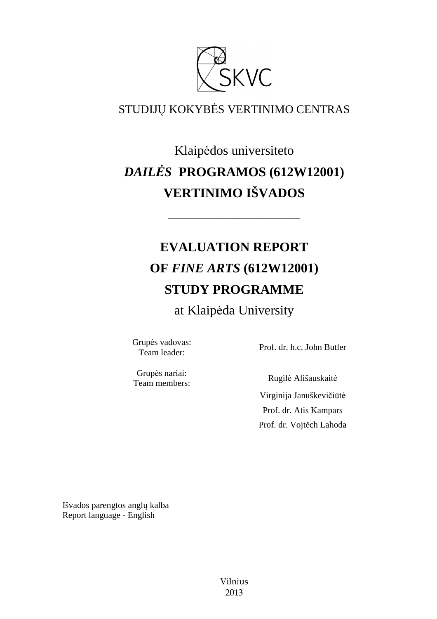

# STUDIJŲ KOKYBĖS VERTINIMO CENTRAS

# Klaipėdos universiteto *DAILĖS* **PROGRAMOS (612W12001) VERTINIMO IŠVADOS**

––––––––––––––––––––––––––––––

# **EVALUATION REPORT OF** *FINE ARTS* **(612W12001) STUDY PROGRAMME**

at Klaipėda University

Grupės vadovas:

Team leader: Prof. dr. h.c. John Butler

Grupės nariai: Team members: Rugilė Ališauskait<sup>ė</sup>

 Virginija Januškevičiūtė Prof. dr. Atis Kampars Prof. dr. Vojtěch Lahoda

Išvados parengtos anglų kalba Report language - English

> Vilnius 2013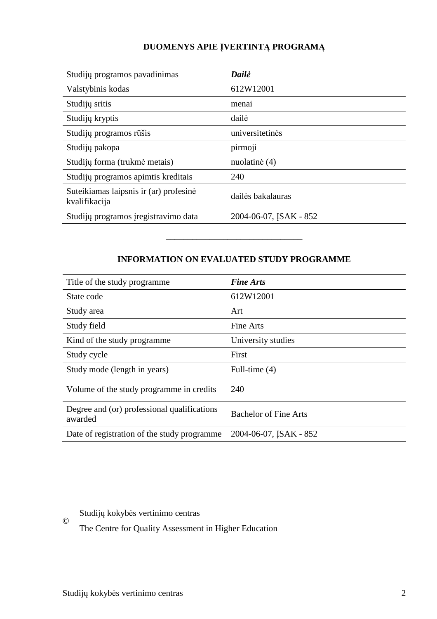# **DUOMENYS APIE ĮVERTINTĄ PROGRAMĄ**

| Studijų programos pavadinimas                           | Dailė                  |
|---------------------------------------------------------|------------------------|
| Valstybinis kodas                                       | 612W12001              |
| Studijų sritis                                          | menai                  |
| Studijų kryptis                                         | dailė                  |
| Studijų programos rūšis                                 | universitetinės        |
| Studijų pakopa                                          | pirmoji                |
| Studijų forma (trukmė metais)                           | nuolatinė (4)          |
| Studijų programos apimtis kreditais                     | 240                    |
| Suteikiamas laipsnis ir (ar) profesinė<br>kvalifikacija | dailės bakalauras      |
| Studijų programos įregistravimo data                    | 2004-06-07, JSAK - 852 |

# **INFORMATION ON EVALUATED STUDY PROGRAMME**

–––––––––––––––––––––––––––––––

| Title of the study programme                           | <b>Fine Arts</b>             |
|--------------------------------------------------------|------------------------------|
| State code                                             | 612W12001                    |
| Study area                                             | Art                          |
| Study field                                            | Fine Arts                    |
| Kind of the study programme                            | University studies           |
| Study cycle                                            | First                        |
| Study mode (length in years)                           | Full-time (4)                |
| Volume of the study programme in credits               | 240                          |
| Degree and (or) professional qualifications<br>awarded | <b>Bachelor of Fine Arts</b> |
| Date of registration of the study programme            | 2004-06-07, JSAK - 852       |

Studijų kokybės vertinimo centras

The Centre for Quality Assessment in Higher Education

©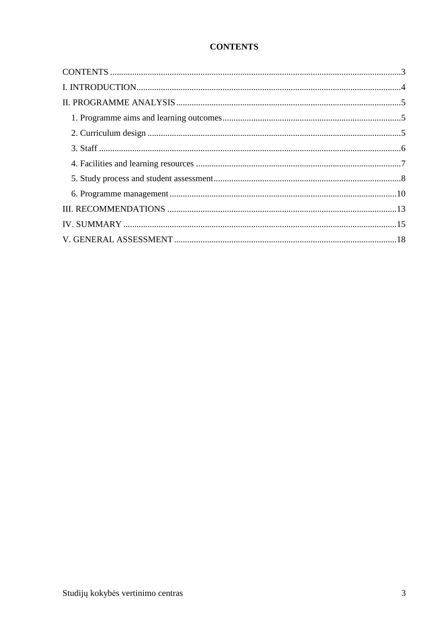# **CONTENTS**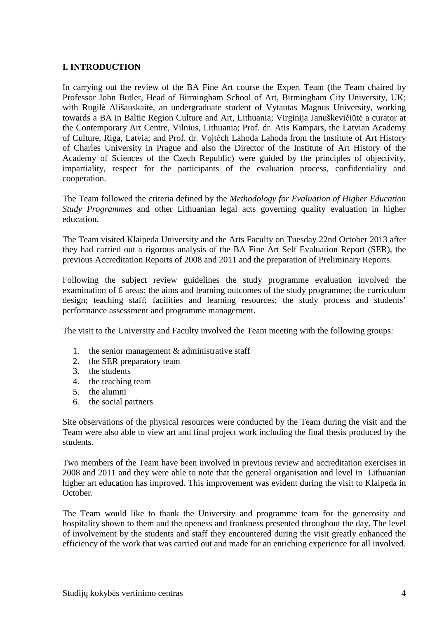#### **I. INTRODUCTION**

In carrying out the review of the BA Fine Art course the Expert Team (the Team chaired by Professor John Butler, Head of Birmingham School of Art, Birmingham City University, UK; with Rugilė Ališauskaitė, an undergraduate student of Vytautas Magnus University, working towards a BA in Baltic Region Culture and Art, Lithuania; Virginija Januškevičiūtė a curator at the Contemporary Art Centre, Vilnius, Lithuania; Prof. dr. Atis Kampars, the Latvian Academy of Culture, Riga, Latvia; and Prof. dr. Vojtěch Lahoda Lahoda from the Institute of Art History of Charles University in Prague and also the Director of the Institute of Art History of the Academy of Sciences of the Czech Republic) were guided by the principles of objectivity, impartiality, respect for the participants of the evaluation process, confidentiality and cooperation.

The Team followed the criteria defined by the *Methodology for Evaluation of Higher Education Study Programmes* and other Lithuanian legal acts governing quality evaluation in higher education.

The Team visited Klaipeda University and the Arts Faculty on Tuesday 22nd October 2013 after they had carried out a rigorous analysis of the BA Fine Art Self Evaluation Report (SER), the previous Accreditation Reports of 2008 and 2011 and the preparation of Preliminary Reports.

Following the subject review guidelines the study programme evaluation involved the examination of 6 areas: the aims and learning outcomes of the study programme; the curriculum design; teaching staff; facilities and learning resources; the study process and students' performance assessment and programme management.

The visit to the University and Faculty involved the Team meeting with the following groups:

- 1. the senior management & administrative staff
- 2. the SER preparatory team
- 3. the students
- 4. the teaching team
- 5. the alumni
- 6. the social partners

Site observations of the physical resources were conducted by the Team during the visit and the Team were also able to view art and final project work including the final thesis produced by the students.

Two members of the Team have been involved in previous review and accreditation exercises in 2008 and 2011 and they were able to note that the general organisation and level in Lithuanian higher art education has improved. This improvement was evident during the visit to Klaipeda in October.

The Team would like to thank the University and programme team for the generosity and hospitality shown to them and the openess and frankness presented throughout the day. The level of involvement by the students and staff they encountered during the visit greatly enhanced the efficiency of the work that was carried out and made for an enriching experience for all involved.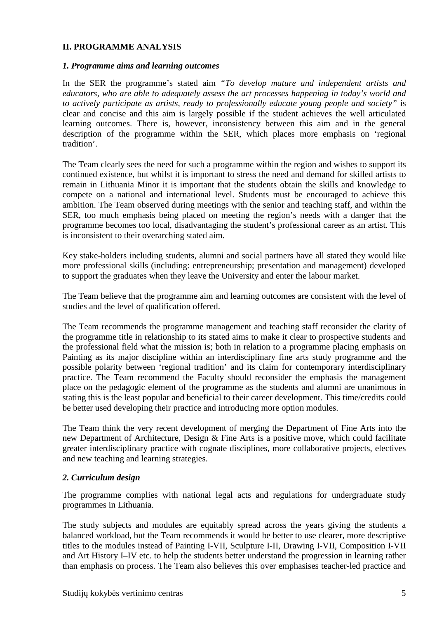#### **II. PROGRAMME ANALYSIS**

#### *1. Programme aims and learning outcomes*

In the SER the programme's stated aim *"To develop mature and independent artists and educators, who are able to adequately assess the art processes happening in today's world and to actively participate as artists, ready to professionally educate young people and society"* is clear and concise and this aim is largely possible if the student achieves the well articulated learning outcomes. There is, however, inconsistency between this aim and in the general description of the programme within the SER, which places more emphasis on 'regional tradition'.

The Team clearly sees the need for such a programme within the region and wishes to support its continued existence, but whilst it is important to stress the need and demand for skilled artists to remain in Lithuania Minor it is important that the students obtain the skills and knowledge to compete on a national and international level. Students must be encouraged to achieve this ambition. The Team observed during meetings with the senior and teaching staff, and within the SER, too much emphasis being placed on meeting the region's needs with a danger that the programme becomes too local, disadvantaging the student's professional career as an artist. This is inconsistent to their overarching stated aim.

Key stake-holders including students, alumni and social partners have all stated they would like more professional skills (including: entrepreneurship; presentation and management) developed to support the graduates when they leave the University and enter the labour market.

The Team believe that the programme aim and learning outcomes are consistent with the level of studies and the level of qualification offered.

The Team recommends the programme management and teaching staff reconsider the clarity of the programme title in relationship to its stated aims to make it clear to prospective students and the professional field what the mission is; both in relation to a programme placing emphasis on Painting as its major discipline within an interdisciplinary fine arts study programme and the possible polarity between 'regional tradition' and its claim for contemporary interdisciplinary practice. The Team recommend the Faculty should reconsider the emphasis the management place on the pedagogic element of the programme as the students and alumni are unanimous in stating this is the least popular and beneficial to their career development. This time/credits could be better used developing their practice and introducing more option modules.

The Team think the very recent development of merging the Department of Fine Arts into the new Department of Architecture, Design & Fine Arts is a positive move, which could facilitate greater interdisciplinary practice with cognate disciplines, more collaborative projects, electives and new teaching and learning strategies.

#### *2. Curriculum design*

The programme complies with national legal acts and regulations for undergraduate study programmes in Lithuania.

The study subjects and modules are equitably spread across the years giving the students a balanced workload, but the Team recommends it would be better to use clearer, more descriptive titles to the modules instead of Painting I-VII, Sculpture I-II, Drawing I-VII, Composition I-VII and Art History I–IV etc. to help the students better understand the progression in learning rather than emphasis on process. The Team also believes this over emphasises teacher-led practice and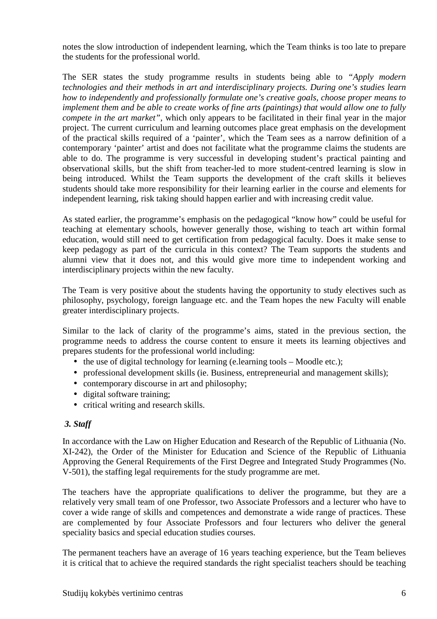notes the slow introduction of independent learning, which the Team thinks is too late to prepare the students for the professional world.

The SER states the study programme results in students being able to *"Apply modern technologies and their methods in art and interdisciplinary projects. During one's studies learn how to independently and professionally formulate one's creative goals, choose proper means to implement them and be able to create works of fine arts (paintings) that would allow one to fully compete in the art market*", which only appears to be facilitated in their final year in the major project. The current curriculum and learning outcomes place great emphasis on the development of the practical skills required of a 'painter', which the Team sees as a narrow definition of a contemporary 'painter' artist and does not facilitate what the programme claims the students are able to do. The programme is very successful in developing student's practical painting and observational skills, but the shift from teacher-led to more student-centred learning is slow in being introduced. Whilst the Team supports the development of the craft skills it believes students should take more responsibility for their learning earlier in the course and elements for independent learning, risk taking should happen earlier and with increasing credit value.

As stated earlier, the programme's emphasis on the pedagogical "know how" could be useful for teaching at elementary schools, however generally those, wishing to teach art within formal education, would still need to get certification from pedagogical faculty. Does it make sense to keep pedagogy as part of the curricula in this context? The Team supports the students and alumni view that it does not, and this would give more time to independent working and interdisciplinary projects within the new faculty.

The Team is very positive about the students having the opportunity to study electives such as philosophy, psychology, foreign language etc. and the Team hopes the new Faculty will enable greater interdisciplinary projects.

Similar to the lack of clarity of the programme's aims, stated in the previous section, the programme needs to address the course content to ensure it meets its learning objectives and prepares students for the professional world including:

- the use of digital technology for learning (e.learning tools Moodle etc.);
- professional development skills (ie. Business, entrepreneurial and management skills);
- contemporary discourse in art and philosophy;
- digital software training;
- critical writing and research skills.

#### *3. Staff*

In accordance with the Law on Higher Education and Research of the Republic of Lithuania (No. XI-242), the Order of the Minister for Education and Science of the Republic of Lithuania Approving the General Requirements of the First Degree and Integrated Study Programmes (No. V-501), the staffing legal requirements for the study programme are met.

The teachers have the appropriate qualifications to deliver the programme, but they are a relatively very small team of one Professor, two Associate Professors and a lecturer who have to cover a wide range of skills and competences and demonstrate a wide range of practices. These are complemented by four Associate Professors and four lecturers who deliver the general speciality basics and special education studies courses.

The permanent teachers have an average of 16 years teaching experience, but the Team believes it is critical that to achieve the required standards the right specialist teachers should be teaching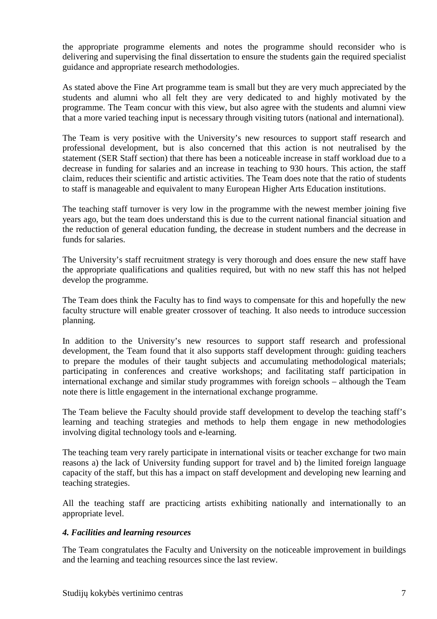the appropriate programme elements and notes the programme should reconsider who is delivering and supervising the final dissertation to ensure the students gain the required specialist guidance and appropriate research methodologies.

As stated above the Fine Art programme team is small but they are very much appreciated by the students and alumni who all felt they are very dedicated to and highly motivated by the programme. The Team concur with this view, but also agree with the students and alumni view that a more varied teaching input is necessary through visiting tutors (national and international).

The Team is very positive with the University's new resources to support staff research and professional development, but is also concerned that this action is not neutralised by the statement (SER Staff section) that there has been a noticeable increase in staff workload due to a decrease in funding for salaries and an increase in teaching to 930 hours. This action, the staff claim, reduces their scientific and artistic activities. The Team does note that the ratio of students to staff is manageable and equivalent to many European Higher Arts Education institutions.

The teaching staff turnover is very low in the programme with the newest member joining five years ago, but the team does understand this is due to the current national financial situation and the reduction of general education funding, the decrease in student numbers and the decrease in funds for salaries.

The University's staff recruitment strategy is very thorough and does ensure the new staff have the appropriate qualifications and qualities required, but with no new staff this has not helped develop the programme.

The Team does think the Faculty has to find ways to compensate for this and hopefully the new faculty structure will enable greater crossover of teaching. It also needs to introduce succession planning.

In addition to the University's new resources to support staff research and professional development, the Team found that it also supports staff development through: guiding teachers to prepare the modules of their taught subjects and accumulating methodological materials; participating in conferences and creative workshops; and facilitating staff participation in international exchange and similar study programmes with foreign schools – although the Team note there is little engagement in the international exchange programme.

The Team believe the Faculty should provide staff development to develop the teaching staff's learning and teaching strategies and methods to help them engage in new methodologies involving digital technology tools and e-learning.

The teaching team very rarely participate in international visits or teacher exchange for two main reasons a) the lack of University funding support for travel and b) the limited foreign language capacity of the staff, but this has a impact on staff development and developing new learning and teaching strategies.

All the teaching staff are practicing artists exhibiting nationally and internationally to an appropriate level.

#### *4. Facilities and learning resources*

The Team congratulates the Faculty and University on the noticeable improvement in buildings and the learning and teaching resources since the last review.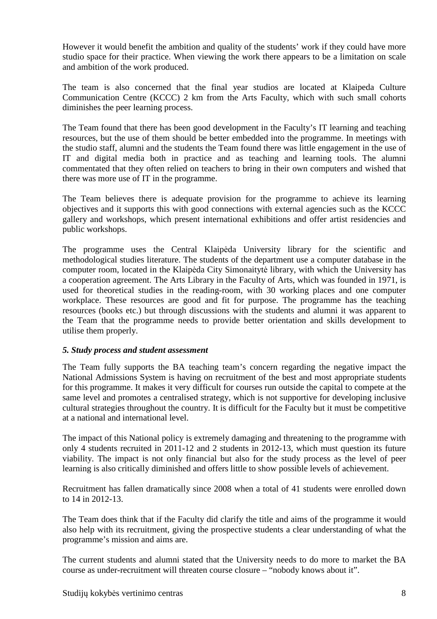However it would benefit the ambition and quality of the students' work if they could have more studio space for their practice. When viewing the work there appears to be a limitation on scale and ambition of the work produced.

The team is also concerned that the final year studios are located at Klaipeda Culture Communication Centre (KCCC) 2 km from the Arts Faculty, which with such small cohorts diminishes the peer learning process.

The Team found that there has been good development in the Faculty's IT learning and teaching resources, but the use of them should be better embedded into the programme. In meetings with the studio staff, alumni and the students the Team found there was little engagement in the use of IT and digital media both in practice and as teaching and learning tools. The alumni commentated that they often relied on teachers to bring in their own computers and wished that there was more use of IT in the programme.

The Team believes there is adequate provision for the programme to achieve its learning objectives and it supports this with good connections with external agencies such as the KCCC gallery and workshops, which present international exhibitions and offer artist residencies and public workshops.

The programme uses the Central Klaipėda University library for the scientific and methodological studies literature. The students of the department use a computer database in the computer room, located in the Klaipėda City Simonaitytė library, with which the University has a cooperation agreement. The Arts Library in the Faculty of Arts, which was founded in 1971, is used for theoretical studies in the reading-room, with 30 working places and one computer workplace. These resources are good and fit for purpose. The programme has the teaching resources (books etc.) but through discussions with the students and alumni it was apparent to the Team that the programme needs to provide better orientation and skills development to utilise them properly.

#### *5. Study process and student assessment*

The Team fully supports the BA teaching team's concern regarding the negative impact the National Admissions System is having on recruitment of the best and most appropriate students for this programme. It makes it very difficult for courses run outside the capital to compete at the same level and promotes a centralised strategy, which is not supportive for developing inclusive cultural strategies throughout the country. It is difficult for the Faculty but it must be competitive at a national and international level.

The impact of this National policy is extremely damaging and threatening to the programme with only 4 students recruited in 2011-12 and 2 students in 2012-13, which must question its future viability. The impact is not only financial but also for the study process as the level of peer learning is also critically diminished and offers little to show possible levels of achievement.

Recruitment has fallen dramatically since 2008 when a total of 41 students were enrolled down to 14 in 2012-13.

The Team does think that if the Faculty did clarify the title and aims of the programme it would also help with its recruitment, giving the prospective students a clear understanding of what the programme's mission and aims are.

The current students and alumni stated that the University needs to do more to market the BA course as under-recruitment will threaten course closure – "nobody knows about it".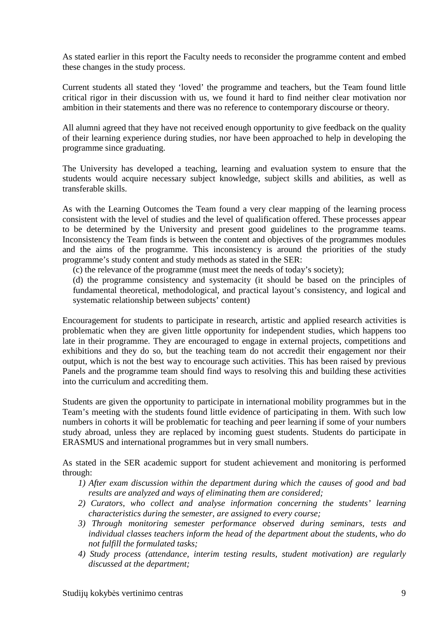As stated earlier in this report the Faculty needs to reconsider the programme content and embed these changes in the study process.

Current students all stated they 'loved' the programme and teachers, but the Team found little critical rigor in their discussion with us, we found it hard to find neither clear motivation nor ambition in their statements and there was no reference to contemporary discourse or theory.

All alumni agreed that they have not received enough opportunity to give feedback on the quality of their learning experience during studies, nor have been approached to help in developing the programme since graduating.

The University has developed a teaching, learning and evaluation system to ensure that the students would acquire necessary subject knowledge, subject skills and abilities, as well as transferable skills.

As with the Learning Outcomes the Team found a very clear mapping of the learning process consistent with the level of studies and the level of qualification offered. These processes appear to be determined by the University and present good guidelines to the programme teams. Inconsistency the Team finds is between the content and objectives of the programmes modules and the aims of the programme. This inconsistency is around the priorities of the study programme's study content and study methods as stated in the SER:

(c) the relevance of the programme (must meet the needs of today's society);

(d) the programme consistency and systemacity (it should be based on the principles of fundamental theoretical, methodological, and practical layout's consistency, and logical and systematic relationship between subjects' content)

Encouragement for students to participate in research, artistic and applied research activities is problematic when they are given little opportunity for independent studies, which happens too late in their programme. They are encouraged to engage in external projects, competitions and exhibitions and they do so, but the teaching team do not accredit their engagement nor their output, which is not the best way to encourage such activities. This has been raised by previous Panels and the programme team should find ways to resolving this and building these activities into the curriculum and accrediting them.

Students are given the opportunity to participate in international mobility programmes but in the Team's meeting with the students found little evidence of participating in them. With such low numbers in cohorts it will be problematic for teaching and peer learning if some of your numbers study abroad, unless they are replaced by incoming guest students. Students do participate in ERASMUS and international programmes but in very small numbers.

As stated in the SER academic support for student achievement and monitoring is performed through:

- *1) After exam discussion within the department during which the causes of good and bad results are analyzed and ways of eliminating them are considered;*
- *2) Curators, who collect and analyse information concerning the students' learning characteristics during the semester, are assigned to every course;*
- *3) Through monitoring semester performance observed during seminars, tests and individual classes teachers inform the head of the department about the students, who do not fulfill the formulated tasks;*
- *4) Study process (attendance, interim testing results, student motivation) are regularly discussed at the department;*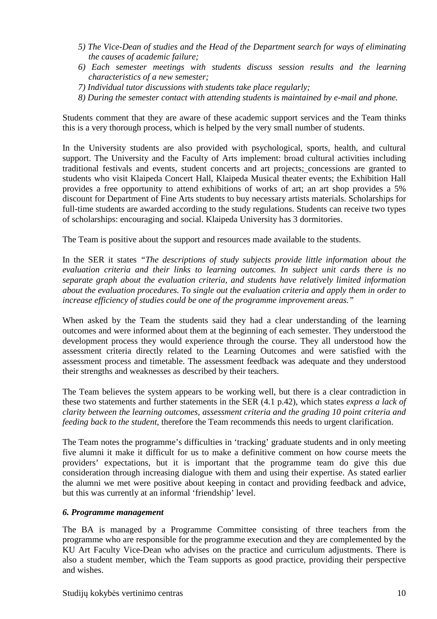- *5) The Vice-Dean of studies and the Head of the Department search for ways of eliminating the causes of academic failure;*
- *6) Each semester meetings with students discuss session results and the learning characteristics of a new semester;*
- *7) Individual tutor discussions with students take place regularly;*
- *8) During the semester contact with attending students is maintained by e-mail and phone.*

Students comment that they are aware of these academic support services and the Team thinks this is a very thorough process, which is helped by the very small number of students.

In the University students are also provided with psychological, sports, health, and cultural support. The University and the Faculty of Arts implement: broad cultural activities including traditional festivals and events, student concerts and art projects; concessions are granted to students who visit Klaipeda Concert Hall, Klaipeda Musical theater events; the Exhibition Hall provides a free opportunity to attend exhibitions of works of art; an art shop provides a 5% discount for Department of Fine Arts students to buy necessary artists materials. Scholarships for full-time students are awarded according to the study regulations. Students can receive two types of scholarships: encouraging and social. Klaipeda University has 3 dormitories.

The Team is positive about the support and resources made available to the students.

In the SER it states *"The descriptions of study subjects provide little information about the evaluation criteria and their links to learning outcomes. In subject unit cards there is no separate graph about the evaluation criteria, and students have relatively limited information about the evaluation procedures. To single out the evaluation criteria and apply them in order to increase efficiency of studies could be one of the programme improvement areas."* 

When asked by the Team the students said they had a clear understanding of the learning outcomes and were informed about them at the beginning of each semester. They understood the development process they would experience through the course. They all understood how the assessment criteria directly related to the Learning Outcomes and were satisfied with the assessment process and timetable. The assessment feedback was adequate and they understood their strengths and weaknesses as described by their teachers.

The Team believes the system appears to be working well, but there is a clear contradiction in these two statements and further statements in the SER (4.1 p.42), which states *express a lack of clarity between the learning outcomes, assessment criteria and the grading 10 point criteria and feeding back to the student*, therefore the Team recommends this needs to urgent clarification.

The Team notes the programme's difficulties in 'tracking' graduate students and in only meeting five alumni it make it difficult for us to make a definitive comment on how course meets the providers' expectations, but it is important that the programme team do give this due consideration through increasing dialogue with them and using their expertise. As stated earlier the alumni we met were positive about keeping in contact and providing feedback and advice, but this was currently at an informal 'friendship' level.

#### *6. Programme management*

The BA is managed by a Programme Committee consisting of three teachers from the programme who are responsible for the programme execution and they are complemented by the KU Art Faculty Vice-Dean who advises on the practice and curriculum adjustments. There is also a student member, which the Team supports as good practice, providing their perspective and wishes.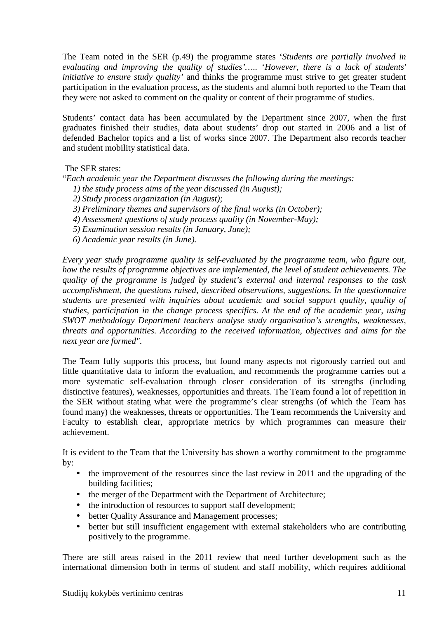The Team noted in the SER (p.49) the programme states '*Students are partially involved in evaluating and improving the quality of studies'…..* '*However, there is a lack of students' initiative to ensure study quality'* and thinks the programme must strive to get greater student participation in the evaluation process, as the students and alumni both reported to the Team that they were not asked to comment on the quality or content of their programme of studies.

Students' contact data has been accumulated by the Department since 2007, when the first graduates finished their studies, data about students' drop out started in 2006 and a list of defended Bachelor topics and a list of works since 2007. The Department also records teacher and student mobility statistical data.

The SER states:

"*Each academic year the Department discusses the following during the meetings:* 

- *1) the study process aims of the year discussed (in August);*
- *2) Study process organization (in August);*
- *3) Preliminary themes and supervisors of the final works (in October);*
- *4) Assessment questions of study process quality (in November-May);*
- *5) Examination session results (in January, June);*
- *6) Academic year results (in June).*

*Every year study programme quality is self-evaluated by the programme team, who figure out, how the results of programme objectives are implemented, the level of student achievements. The quality of the programme is judged by student's external and internal responses to the task accomplishment, the questions raised, described observations, suggestions. In the questionnaire students are presented with inquiries about academic and social support quality, quality of studies, participation in the change process specifics. At the end of the academic year, using SWOT methodology Department teachers analyse study organisation's strengths, weaknesses, threats and opportunities. According to the received information, objectives and aims for the next year are formed".* 

The Team fully supports this process, but found many aspects not rigorously carried out and little quantitative data to inform the evaluation, and recommends the programme carries out a more systematic self-evaluation through closer consideration of its strengths (including distinctive features), weaknesses, opportunities and threats. The Team found a lot of repetition in the SER without stating what were the programme's clear strengths (of which the Team has found many) the weaknesses, threats or opportunities. The Team recommends the University and Faculty to establish clear, appropriate metrics by which programmes can measure their achievement.

It is evident to the Team that the University has shown a worthy commitment to the programme by:

- the improvement of the resources since the last review in 2011 and the upgrading of the building facilities;
- the merger of the Department with the Department of Architecture;
- the introduction of resources to support staff development;
- better Quality Assurance and Management processes;
- better but still insufficient engagement with external stakeholders who are contributing positively to the programme.

There are still areas raised in the 2011 review that need further development such as the international dimension both in terms of student and staff mobility, which requires additional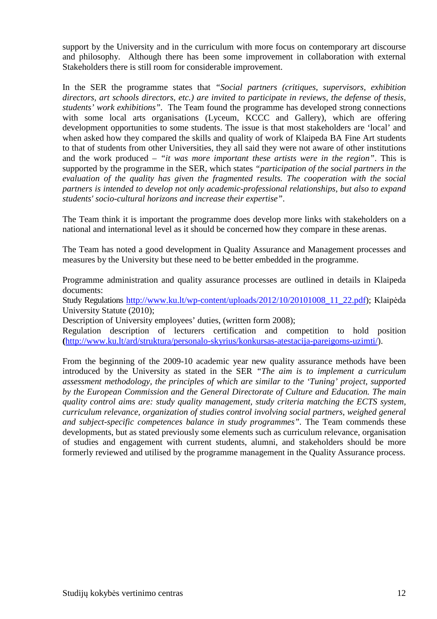support by the University and in the curriculum with more focus on contemporary art discourse and philosophy. Although there has been some improvement in collaboration with external Stakeholders there is still room for considerable improvement.

In the SER the programme states that *"Social partners (critiques, supervisors, exhibition directors, art schools directors, etc.) are invited to participate in reviews, the defense of thesis, students' work exhibitions".* The Team found the programme has developed strong connections with some local arts organisations (Lyceum, KCCC and Gallery), which are offering development opportunities to some students. The issue is that most stakeholders are 'local' and when asked how they compared the skills and quality of work of Klaipeda BA Fine Art students to that of students from other Universities, they all said they were not aware of other institutions and the work produced – *"it was more important these artists were in the region"*. This is supported by the programme in the SER, which states *"participation of the social partners in the evaluation of the quality has given the fragmented results. The cooperation with the social partners is intended to develop not only academic-professional relationships, but also to expand students' socio-cultural horizons and increase their expertise"*.

The Team think it is important the programme does develop more links with stakeholders on a national and international level as it should be concerned how they compare in these arenas.

The Team has noted a good development in Quality Assurance and Management processes and measures by the University but these need to be better embedded in the programme.

Programme administration and quality assurance processes are outlined in details in Klaipeda documents:

Study Regulations http://www.ku.lt/wp-content/uploads/2012/10/20101008\_11\_22.pdf); Klaipėda University Statute (2010);

Description of University employees' duties, (written form 2008);

Regulation description of lecturers certification and competition to hold position **(**http://www.ku.lt/ard/struktura/personalo-skyrius/konkursas-atestacija-pareigoms-uzimti/).

From the beginning of the 2009-10 academic year new quality assurance methods have been introduced by the University as stated in the SER *"The aim is to implement a curriculum assessment methodology, the principles of which are similar to the 'Tuning' project, supported by the European Commission and the General Directorate of Culture and Education. The main quality control aims are: study quality management, study criteria matching the ECTS system, curriculum relevance, organization of studies control involving social partners, weighed general and subject-specific competences balance in study programmes".* The Team commends these developments, but as stated previously some elements such as curriculum relevance, organisation of studies and engagement with current students, alumni, and stakeholders should be more formerly reviewed and utilised by the programme management in the Quality Assurance process.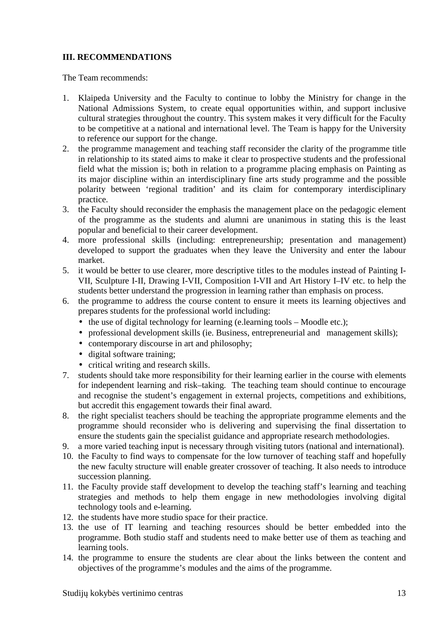### **III. RECOMMENDATIONS**

The Team recommends:

- 1. Klaipeda University and the Faculty to continue to lobby the Ministry for change in the National Admissions System, to create equal opportunities within, and support inclusive cultural strategies throughout the country. This system makes it very difficult for the Faculty to be competitive at a national and international level. The Team is happy for the University to reference our support for the change.
- 2. the programme management and teaching staff reconsider the clarity of the programme title in relationship to its stated aims to make it clear to prospective students and the professional field what the mission is; both in relation to a programme placing emphasis on Painting as its major discipline within an interdisciplinary fine arts study programme and the possible polarity between 'regional tradition' and its claim for contemporary interdisciplinary practice.
- 3. the Faculty should reconsider the emphasis the management place on the pedagogic element of the programme as the students and alumni are unanimous in stating this is the least popular and beneficial to their career development.
- 4. more professional skills (including: entrepreneurship; presentation and management) developed to support the graduates when they leave the University and enter the labour market.
- 5. it would be better to use clearer, more descriptive titles to the modules instead of Painting I-VII, Sculpture I-II, Drawing I-VII, Composition I-VII and Art History I–IV etc. to help the students better understand the progression in learning rather than emphasis on process.
- 6. the programme to address the course content to ensure it meets its learning objectives and prepares students for the professional world including:
	- $\bullet$  the use of digital technology for learning (e.learning tools Moodle etc.);
	- professional development skills (ie. Business, entrepreneurial and management skills);
	- contemporary discourse in art and philosophy;
	- digital software training;
	- critical writing and research skills.
- 7. students should take more responsibility for their learning earlier in the course with elements for independent learning and risk–taking. The teaching team should continue to encourage and recognise the student's engagement in external projects, competitions and exhibitions, but accredit this engagement towards their final award.
- 8. the right specialist teachers should be teaching the appropriate programme elements and the programme should reconsider who is delivering and supervising the final dissertation to ensure the students gain the specialist guidance and appropriate research methodologies.
- 9. a more varied teaching input is necessary through visiting tutors (national and international).
- 10. the Faculty to find ways to compensate for the low turnover of teaching staff and hopefully the new faculty structure will enable greater crossover of teaching. It also needs to introduce succession planning.
- 11. the Faculty provide staff development to develop the teaching staff's learning and teaching strategies and methods to help them engage in new methodologies involving digital technology tools and e-learning.
- 12. the students have more studio space for their practice.
- 13. the use of IT learning and teaching resources should be better embedded into the programme. Both studio staff and students need to make better use of them as teaching and learning tools.
- 14. the programme to ensure the students are clear about the links between the content and objectives of the programme's modules and the aims of the programme.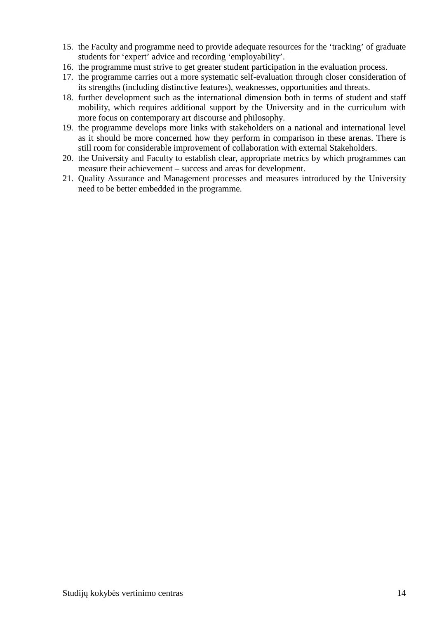- 15. the Faculty and programme need to provide adequate resources for the 'tracking' of graduate students for 'expert' advice and recording 'employability'.
- 16. the programme must strive to get greater student participation in the evaluation process.
- 17. the programme carries out a more systematic self-evaluation through closer consideration of its strengths (including distinctive features), weaknesses, opportunities and threats.
- 18. further development such as the international dimension both in terms of student and staff mobility, which requires additional support by the University and in the curriculum with more focus on contemporary art discourse and philosophy.
- 19. the programme develops more links with stakeholders on a national and international level as it should be more concerned how they perform in comparison in these arenas. There is still room for considerable improvement of collaboration with external Stakeholders.
- 20. the University and Faculty to establish clear, appropriate metrics by which programmes can measure their achievement – success and areas for development.
- 21. Quality Assurance and Management processes and measures introduced by the University need to be better embedded in the programme.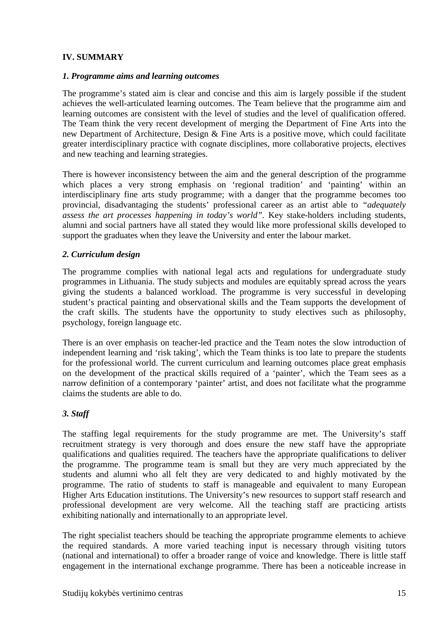### **IV. SUMMARY**

#### *1. Programme aims and learning outcomes*

The programme's stated aim is clear and concise and this aim is largely possible if the student achieves the well-articulated learning outcomes. The Team believe that the programme aim and learning outcomes are consistent with the level of studies and the level of qualification offered. The Team think the very recent development of merging the Department of Fine Arts into the new Department of Architecture, Design & Fine Arts is a positive move, which could facilitate greater interdisciplinary practice with cognate disciplines, more collaborative projects, electives and new teaching and learning strategies.

There is however inconsistency between the aim and the general description of the programme which places a very strong emphasis on 'regional tradition' and 'painting' within an interdisciplinary fine arts study programme; with a danger that the programme becomes too provincial, disadvantaging the students' professional career as an artist able to *"adequately assess the art processes happening in today's world".* Key stake-holders including students, alumni and social partners have all stated they would like more professional skills developed to support the graduates when they leave the University and enter the labour market.

#### *2. Curriculum design*

The programme complies with national legal acts and regulations for undergraduate study programmes in Lithuania. The study subjects and modules are equitably spread across the years giving the students a balanced workload. The programme is very successful in developing student's practical painting and observational skills and the Team supports the development of the craft skills. The students have the opportunity to study electives such as philosophy, psychology, foreign language etc.

There is an over emphasis on teacher-led practice and the Team notes the slow introduction of independent learning and 'risk taking', which the Team thinks is too late to prepare the students for the professional world. The current curriculum and learning outcomes place great emphasis on the development of the practical skills required of a 'painter', which the Team sees as a narrow definition of a contemporary 'painter' artist, and does not facilitate what the programme claims the students are able to do.

#### *3. Staff*

The staffing legal requirements for the study programme are met. The University's staff recruitment strategy is very thorough and does ensure the new staff have the appropriate qualifications and qualities required. The teachers have the appropriate qualifications to deliver the programme. The programme team is small but they are very much appreciated by the students and alumni who all felt they are very dedicated to and highly motivated by the programme. The ratio of students to staff is manageable and equivalent to many European Higher Arts Education institutions. The University's new resources to support staff research and professional development are very welcome. All the teaching staff are practicing artists exhibiting nationally and internationally to an appropriate level.

The right specialist teachers should be teaching the appropriate programme elements to achieve the required standards. A more varied teaching input is necessary through visiting tutors (national and international) to offer a broader range of voice and knowledge. There is little staff engagement in the international exchange programme. There has been a noticeable increase in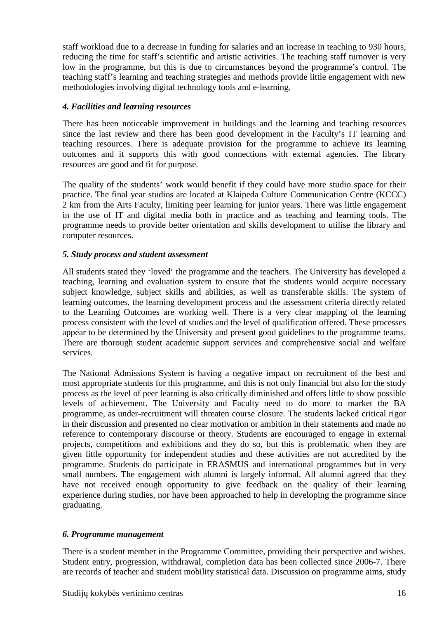staff workload due to a decrease in funding for salaries and an increase in teaching to 930 hours, reducing the time for staff's scientific and artistic activities. The teaching staff turnover is very low in the programme, but this is due to circumstances beyond the programme's control. The teaching staff's learning and teaching strategies and methods provide little engagement with new methodologies involving digital technology tools and e-learning.

#### *4. Facilities and learning resources*

There has been noticeable improvement in buildings and the learning and teaching resources since the last review and there has been good development in the Faculty's IT learning and teaching resources. There is adequate provision for the programme to achieve its learning outcomes and it supports this with good connections with external agencies. The library resources are good and fit for purpose.

The quality of the students' work would benefit if they could have more studio space for their practice. The final year studios are located at Klaipeda Culture Communication Centre (KCCC) 2 km from the Arts Faculty, limiting peer learning for junior years. There was little engagement in the use of IT and digital media both in practice and as teaching and learning tools. The programme needs to provide better orientation and skills development to utilise the library and computer resources.

#### *5. Study process and student assessment*

All students stated they 'loved' the programme and the teachers. The University has developed a teaching, learning and evaluation system to ensure that the students would acquire necessary subject knowledge, subject skills and abilities, as well as transferable skills. The system of learning outcomes, the learning development process and the assessment criteria directly related to the Learning Outcomes are working well. There is a very clear mapping of the learning process consistent with the level of studies and the level of qualification offered. These processes appear to be determined by the University and present good guidelines to the programme teams. There are thorough student academic support services and comprehensive social and welfare services.

The National Admissions System is having a negative impact on recruitment of the best and most appropriate students for this programme, and this is not only financial but also for the study process as the level of peer learning is also critically diminished and offers little to show possible levels of achievement. The University and Faculty need to do more to market the BA programme, as under-recruitment will threaten course closure. The students lacked critical rigor in their discussion and presented no clear motivation or ambition in their statements and made no reference to contemporary discourse or theory. Students are encouraged to engage in external projects, competitions and exhibitions and they do so, but this is problematic when they are given little opportunity for independent studies and these activities are not accredited by the programme. Students do participate in ERASMUS and international programmes but in very small numbers. The engagement with alumni is largely informal. All alumni agreed that they have not received enough opportunity to give feedback on the quality of their learning experience during studies, nor have been approached to help in developing the programme since graduating.

#### *6. Programme management*

There is a student member in the Programme Committee, providing their perspective and wishes. Student entry, progression, withdrawal, completion data has been collected since 2006-7. There are records of teacher and student mobility statistical data. Discussion on programme aims, study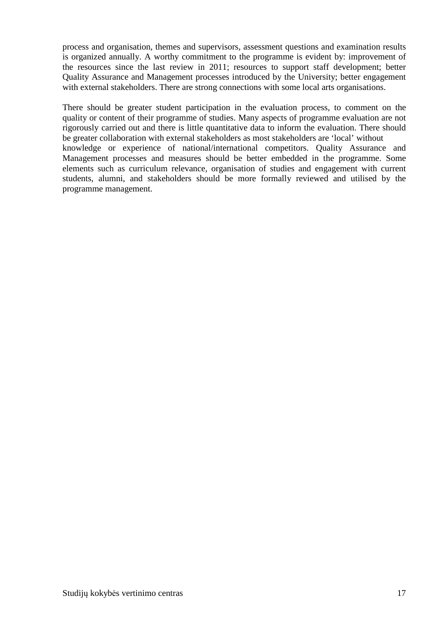process and organisation, themes and supervisors, assessment questions and examination results is organized annually. A worthy commitment to the programme is evident by: improvement of the resources since the last review in 2011; resources to support staff development; better Quality Assurance and Management processes introduced by the University; better engagement with external stakeholders. There are strong connections with some local arts organisations.

There should be greater student participation in the evaluation process, to comment on the quality or content of their programme of studies. Many aspects of programme evaluation are not rigorously carried out and there is little quantitative data to inform the evaluation. There should be greater collaboration with external stakeholders as most stakeholders are 'local' without knowledge or experience of national/international competitors. Quality Assurance and Management processes and measures should be better embedded in the programme. Some elements such as curriculum relevance, organisation of studies and engagement with current students, alumni, and stakeholders should be more formally reviewed and utilised by the programme management.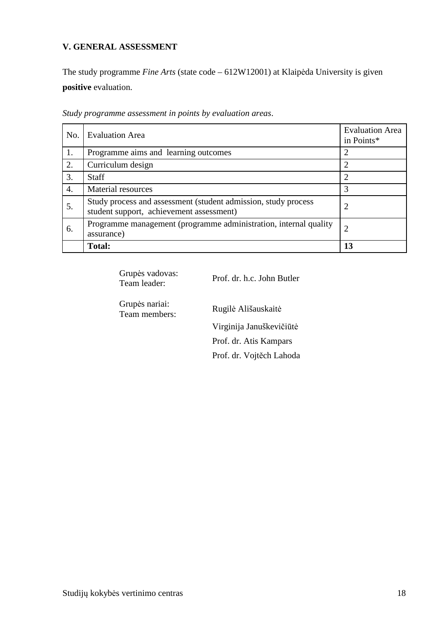### **V. GENERAL ASSESSMENT**

The study programme *Fine Arts* (state code – 612W12001) at Klaipėda University is given **positive** evaluation.

| No.              | <b>Evaluation Area</b>                                                                                     | <b>Evaluation Area</b><br>in Points* |
|------------------|------------------------------------------------------------------------------------------------------------|--------------------------------------|
| 1.               | Programme aims and learning outcomes                                                                       | 2                                    |
| 2.               | Curriculum design                                                                                          |                                      |
| 3.               | <b>Staff</b>                                                                                               | າ                                    |
| $\overline{4}$ . | Material resources                                                                                         | 3                                    |
| 5.               | Study process and assessment (student admission, study process<br>student support, achievement assessment) | 2                                    |
| 6.               | Programme management (programme administration, internal quality<br>assurance)                             |                                      |
|                  | <b>Total:</b>                                                                                              | 13                                   |

*Study programme assessment in points by evaluation areas*.

Grupės vadovas:<br>Team leader: Prof. dr. h.c. John Butler Grupės nariai: Rugilė Ališauskaitė Virginija Januškevičiūtė Prof. dr. Atis Kampars Prof. dr. Vojtěch Lahoda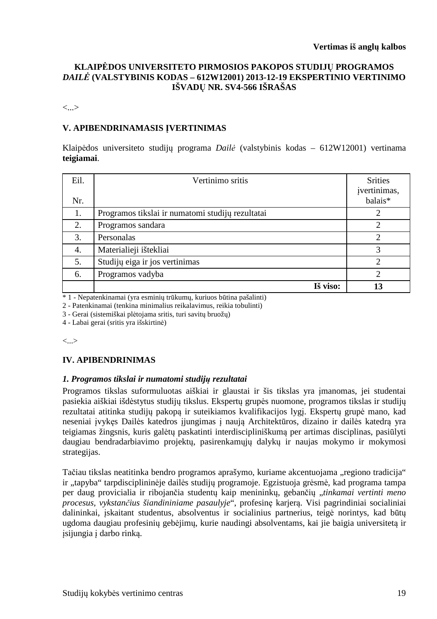#### **KLAIPĖDOS UNIVERSITETO PIRMOSIOS PAKOPOS STUDIJŲ PROGRAMOS**  *DAILĖ* **(VALSTYBINIS KODAS – 612W12001) 2013-12-19 EKSPERTINIO VERTINIMO IŠVADŲ NR. SV4-566 IŠRAŠAS**

<...>

#### **V. APIBENDRINAMASIS ĮVERTINIMAS**

Klaipėdos universiteto studijų programa *Dailė* (valstybinis kodas – 612W12001) vertinama **teigiamai**.

| Eil.<br>Nr. | Vertinimo sritis                                 | <b>Srities</b><br>įvertinimas,<br>balais* |
|-------------|--------------------------------------------------|-------------------------------------------|
| 1.          | Programos tikslai ir numatomi studijų rezultatai |                                           |
| 2.          | Programos sandara                                | $\overline{2}$                            |
| 3.          | Personalas                                       | $\mathfrak{D}$                            |
| 4.          | Materialieji ištekliai                           | 3                                         |
| 5.          | Studijų eiga ir jos vertinimas                   | 2                                         |
| 6.          | Programos vadyba                                 | $\mathcal{D}_{\cdot}$                     |
|             | Iš viso:                                         | 13                                        |

\* 1 - Nepatenkinamai (yra esminių trūkumų, kuriuos būtina pašalinti)

2 - Patenkinamai (tenkina minimalius reikalavimus, reikia tobulinti)

3 - Gerai (sistemiškai plėtojama sritis, turi savitų bruožų)

4 - Labai gerai (sritis yra išskirtinė)

<...>

#### **IV. APIBENDRINIMAS**

#### *1. Programos tikslai ir numatomi studijų rezultatai*

Programos tikslas suformuluotas aiškiai ir glaustai ir šis tikslas yra įmanomas, jei studentai pasiekia aiškiai išdėstytus studijų tikslus. Ekspertų grupės nuomone, programos tikslas ir studijų rezultatai atitinka studijų pakopą ir suteikiamos kvalifikacijos lygį. Ekspertų grupė mano, kad neseniai įvykęs Dailės katedros įjungimas į naują Architektūros, dizaino ir dailės katedrą yra teigiamas žingsnis, kuris galėtų paskatinti interdiscipliniškumą per artimas disciplinas, pasiūlyti daugiau bendradarbiavimo projektų, pasirenkamųjų dalykų ir naujas mokymo ir mokymosi strategijas.

Tačiau tikslas neatitinka bendro programos aprašymo, kuriame akcentuojama "regiono tradicija" ir "tapyba" tarpdisciplininėje dailės studijų programoje. Egzistuoja grėsmė, kad programa tampa per daug provicialia ir ribojančia studentų kaip menininkų, gebančių "*tinkamai vertinti meno procesus, vykstančius šiandininiame pasaulyje*", profesinę karjerą. Visi pagrindiniai socialiniai dalininkai, įskaitant studentus, absolventus ir socialinius partnerius, teigė norintys, kad būtų ugdoma daugiau profesinių gebėjimų, kurie naudingi absolventams, kai jie baigia universitetą ir įsijungia į darbo rinką.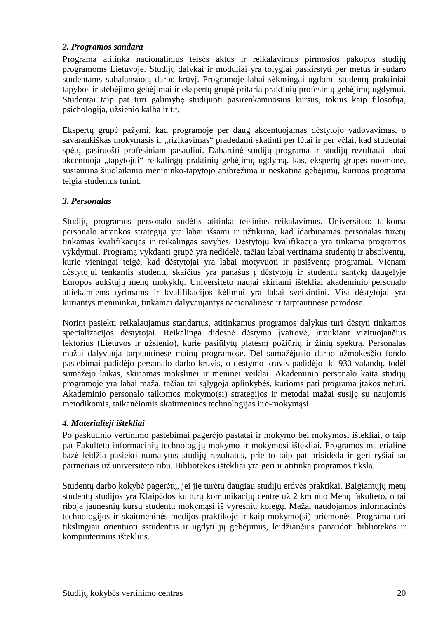#### *2. Programos sandara*

Programa atitinka nacionalinius teisės aktus ir reikalavimus pirmosios pakopos studijų programoms Lietuvoje. Studijų dalykai ir moduliai yra tolygiai paskirstyti per metus ir sudaro studentams subalansuotą darbo krūvį. Programoje labai sėkmingai ugdomi studentų praktiniai tapybos ir stebėjimo gebėjimai ir ekspertų grupė pritaria praktinių profesinių gebėjimų ugdymui. Studentai taip pat turi galimybę studijuoti pasirenkamuosius kursus, tokius kaip filosofija, psichologija, užsienio kalba ir t.t.

Ekspertų grupė pažymi, kad programoje per daug akcentuojamas dėstytojo vadovavimas, o savarankiškas mokymasis ir "rizikavimas" pradedami skatinti per lėtai ir per vėlai, kad studentai spėtų pasiruošti profesiniam pasauliui. Dabartinė studijų programa ir studijų rezultatai labai akcentuoja "tapytojui" reikalingų praktinių gebėjimų ugdymą, kas, ekspertų grupės nuomone, susiaurina šiuolaikinio menininko-tapytojo apibrėžimą ir neskatina gebėjimų, kuriuos programa teigia studentus turint.

### *3. Personalas*

Studijų programos personalo sudėtis atitinka teisinius reikalavimus. Universiteto taikoma personalo atrankos strategija yra labai išsami ir užtikrina, kad įdarbinamas personalas turėtų tinkamas kvalifikacijas ir reikalingas savybes. Dėstytojų kvalifikacija yra tinkama programos vykdymui. Programą vykdanti grupė yra nedidelė, tačiau labai vertinama studentų ir absolventų, kurie vieningai teigė, kad dėstytojai yra labai motyvuoti ir pasišventę programai. Vienam dėstytojui tenkantis studentų skaičius yra panašus į dėstytojų ir studentų santykį daugelyje Europos aukštųjų menų mokyklų. Universiteto naujai skiriami ištekliai akademinio personalo atliekamiems tyrimams ir kvalifikacijos kėlimui yra labai sveikintini. Visi dėstytojai yra kuriantys menininkai, tinkamai dalyvaujantys nacionalinėse ir tarptautinėse parodose.

Norint pasiekti reikalaujamus standartus, atitinkamus programos dalykus turi dėstyti tinkamos specializacijos dėstytojai. Reikalinga didesnė dėstymo įvairovė, įtraukiant vizituojančius lektorius (Lietuvos ir užsienio), kurie pasiūlytų platesnį požiūrių ir žinių spektrą. Personalas mažai dalyvauja tarptautinėse mainų programose. Dėl sumažėjusio darbo užmokesčio fondo pastebimai padidėjo personalo darbo krūvis, o dėstymo krūvis padidėjo iki 930 valandų, todėl sumažėjo laikas, skiriamas mokslinei ir meninei veiklai. Akademinio personalo kaita studijų programoje yra labai maža, tačiau tai sąlygoja aplinkybės, kurioms pati programa įtakos neturi. Akademinio personalo taikomos mokymo(si) strategijos ir metodai mažai susiję su naujomis metodikomis, taikančiomis skaitmenines technologijas ir e-mokymąsi.

# *4. Materialieji ištekliai*

Po paskutinio vertinimo pastebimai pagerėjo pastatai ir mokymo bei mokymosi ištekliai, o taip pat Fakulteto informacinių technologijų mokymo ir mokymosi ištekliai. Programos materialinė bazė leidžia pasiekti numatytus studijų rezultatus, prie to taip pat prisideda ir geri ryšiai su partneriais už universiteto ribų. Bibliotekos ištekliai yra geri ir atitinka programos tikslą.

Studentų darbo kokybė pagerėtų, jei jie turėtų daugiau studijų erdvės praktikai. Baigiamųjų metų studentų studijos yra Klaipėdos kultūrų komunikacijų centre už 2 km nuo Menų fakulteto, o tai riboja jaunesnių kursų studentų mokymąsi iš vyresnių kolegų. Mažai naudojamos informacinės technologijos ir skaitmeninės medijos praktikoje ir kaip mokymo(si) priemonės. Programa turi tikslingiau orientuoti sstudentus ir ugdyti jų gebėjimus, leidžiančius panaudoti bibliotekos ir kompiuterinius išteklius.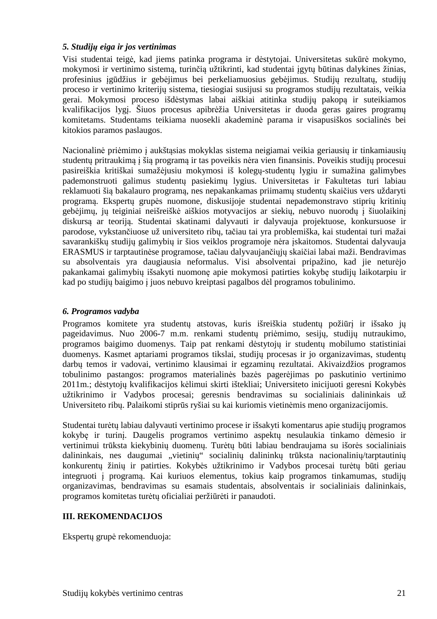#### *5. Studijų eiga ir jos vertinimas*

Visi studentai teigė, kad jiems patinka programa ir dėstytojai. Universitetas sukūrė mokymo, mokymosi ir vertinimo sistemą, turinčią užtikrinti, kad studentai įgytų būtinas dalykines žinias, profesinius įgūdžius ir gebėjimus bei perkeliamuosius gebėjimus. Studijų rezultatų, studijų proceso ir vertinimo kriterijų sistema, tiesiogiai susijusi su programos studijų rezultatais, veikia gerai. Mokymosi proceso išdėstymas labai aiškiai atitinka studijų pakopą ir suteikiamos kvalifikacijos lygį. Šiuos procesus apibrėžia Universitetas ir duoda geras gaires programų komitetams. Studentams teikiama nuosekli akademinė parama ir visapusiškos socialinės bei kitokios paramos paslaugos.

Nacionalinė priėmimo į aukštąsias mokyklas sistema neigiamai veikia geriausių ir tinkamiausių studentų pritraukimą į šią programą ir tas poveikis nėra vien finansinis. Poveikis studijų procesui pasireiškia kritiškai sumažėjusiu mokymosi iš kolegų-studentų lygiu ir sumažina galimybes pademonstruoti galimus studentų pasiekimų lygius. Universitetas ir Fakultetas turi labiau reklamuoti šią bakalauro programą, nes nepakankamas priimamų studentų skaičius vers uždaryti programą. Ekspertų grupės nuomone, diskusijoje studentai nepademonstravo stiprių kritinių gebėjimų, jų teiginiai neišreiškė aiškios motyvacijos ar siekių, nebuvo nuorodų į šiuolaikinį diskursą ar teoriją. Studentai skatinami dalyvauti ir dalyvauja projektuose, konkursuose ir parodose, vykstančiuose už universiteto ribų, tačiau tai yra problemiška, kai studentai turi mažai savarankiškų studijų galimybių ir šios veiklos programoje nėra įskaitomos. Studentai dalyvauja ERASMUS ir tarptautinėse programose, tačiau dalyvaujančiųjų skaičiai labai maži. Bendravimas su absolventais yra daugiausia neformalus. Visi absolventai pripažino, kad jie neturėjo pakankamai galimybių išsakyti nuomonę apie mokymosi patirties kokybę studijų laikotarpiu ir kad po studijų baigimo į juos nebuvo kreiptasi pagalbos dėl programos tobulinimo.

#### *6. Programos vadyba*

Programos komitete yra studentų atstovas, kuris išreiškia studentų požiūrį ir išsako jų pageidavimus. Nuo 2006-7 m.m. renkami studentų priėmimo, sesijų, studijų nutraukimo, programos baigimo duomenys. Taip pat renkami dėstytojų ir studentų mobilumo statistiniai duomenys. Kasmet aptariami programos tikslai, studijų procesas ir jo organizavimas, studentų darbų temos ir vadovai, vertinimo klausimai ir egzaminų rezultatai. Akivaizdžios programos tobulinimo pastangos: programos materialinės bazės pagerėjimas po paskutinio vertinimo 2011m.; dėstytojų kvalifikacijos kėlimui skirti ištekliai; Universiteto inicijuoti geresni Kokybės užtikrinimo ir Vadybos procesai; geresnis bendravimas su socialiniais dalininkais už Universiteto ribų. Palaikomi stiprūs ryšiai su kai kuriomis vietinėmis meno organizacijomis.

Studentai turėtų labiau dalyvauti vertinimo procese ir išsakyti komentarus apie studijų programos kokybę ir turinį. Daugelis programos vertinimo aspektų nesulaukia tinkamo dėmesio ir vertinimui trūksta kiekybinių duomenų. Turėtų būti labiau bendraujama su išorės socialiniais dalininkais, nes daugumai "vietinių" socialinių dalininkų trūksta nacionalinių/tarptautinių konkurentų žinių ir patirties. Kokybės užtikrinimo ir Vadybos procesai turėtų būti geriau integruoti į programą. Kai kuriuos elementus, tokius kaip programos tinkamumas, studijų organizavimas, bendravimas su esamais studentais, absolventais ir socialiniais dalininkais, programos komitetas turėtų oficialiai peržiūrėti ir panaudoti.

#### **III. REKOMENDACIJOS**

Ekspertų grupė rekomenduoja: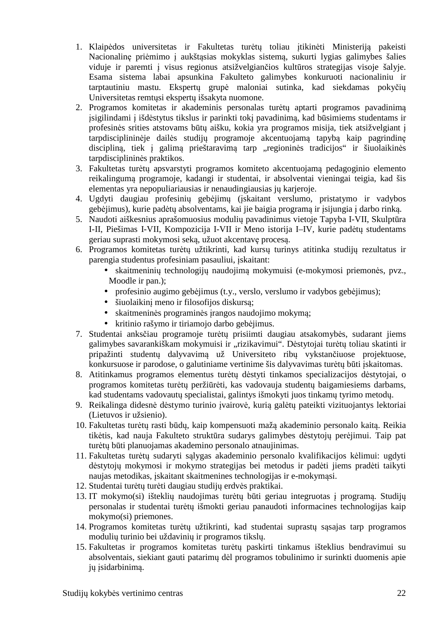- 1. Klaipėdos universitetas ir Fakultetas turėtų toliau įtikinėti Ministeriją pakeisti Nacionalinę priėmimo į aukštąsias mokyklas sistemą, sukurti lygias galimybes šalies viduje ir paremti į visus regionus atsižvelgiančios kultūros strategijas visoje šalyje. Esama sistema labai apsunkina Fakulteto galimybes konkuruoti nacionaliniu ir tarptautiniu mastu. Ekspertų grupė maloniai sutinka, kad siekdamas pokyčių Universitetas remtųsi ekspertų išsakyta nuomone.
- 2. Programos komitetas ir akademinis personalas turėtų aptarti programos pavadinimą įsigilindami į išdėstytus tikslus ir parinkti tokį pavadinimą, kad būsimiems studentams ir profesinės srities atstovams būtų aišku, kokia yra programos misija, tiek atsižvelgiant į tarpdisciplininėje dailės studijų programoje akcentuojamą tapybą kaip pagrindinę discipliną, tiek į galimą prieštaravimą tarp "regioninės tradicijos" ir šiuolaikinės tarpdisciplininės praktikos.
- 3. Fakultetas turėtų apsvarstyti programos komiteto akcentuojamą pedagoginio elemento reikalingumą programoje, kadangi ir studentai, ir absolventai vieningai teigia, kad šis elementas yra nepopuliariausias ir nenaudingiausias jų karjeroje.
- 4. Ugdyti daugiau profesinių gebėjimų (įskaitant verslumo, pristatymo ir vadybos gebėjimus), kurie padėtų absolventams, kai jie baigia programą ir įsijungia į darbo rinką.
- 5. Naudoti aiškesnius aprašomuosius modulių pavadinimus vietoje Tapyba I-VII, Skulptūra I-II, Piešimas I-VII, Kompozicija I-VII ir Meno istorija I–IV, kurie padėtų studentams geriau suprasti mokymosi seką, užuot akcentavę procesą.
- 6. Programos komitetas turėtų užtikrinti, kad kursų turinys atitinka studijų rezultatus ir parengia studentus profesiniam pasauliui, įskaitant:
	- skaitmeninių technologijų naudojimą mokymuisi (e-mokymosi priemonės, pvz., Moodle ir pan.);
	- profesinio augimo gebėjimus (t.y., verslo, verslumo ir vadybos gebėjimus);
	- šiuolaikinį meno ir filosofijos diskursą;
	- skaitmeninės programinės įrangos naudojimo mokymą;
	- kritinio rašymo ir tiriamojo darbo gebėjimus.
- 7. Studentai anksčiau programoje turėtų prisiimti daugiau atsakomybės, sudarant jiems galimybes savarankiškam mokymuisi ir "rizikavimui". Dėstytojai turėtų toliau skatinti ir pripažinti studentų dalyvavimą už Universiteto ribų vykstančiuose projektuose, konkursuose ir parodose, o galutiniame vertinime šis dalyvavimas turėtų būti įskaitomas.
- 8. Atitinkamus programos elementus turėtų dėstyti tinkamos specializacijos dėstytojai, o programos komitetas turėtų peržiūrėti, kas vadovauja studentų baigamiesiems darbams, kad studentams vadovautų specialistai, galintys išmokyti juos tinkamų tyrimo metodų.
- 9. Reikalinga didesnė dėstymo turinio įvairovė, kurią galėtų pateikti vizituojantys lektoriai (Lietuvos ir užsienio).
- 10. Fakultetas turėtų rasti būdų, kaip kompensuoti mažą akademinio personalo kaitą. Reikia tikėtis, kad nauja Fakulteto struktūra sudarys galimybes dėstytojų perėjimui. Taip pat turėtų būti planuojamas akademino personalo atnaujinimas.
- 11. Fakultetas turėtų sudaryti sąlygas akademinio personalo kvalifikacijos kėlimui: ugdyti dėstytojų mokymosi ir mokymo strategijas bei metodus ir padėti jiems pradėti taikyti naujas metodikas, įskaitant skaitmenines technologijas ir e-mokymąsi.
- 12. Studentai turėtų turėti daugiau studijų erdvės praktikai.
- 13. IT mokymo(si) išteklių naudojimas turėtų būti geriau integruotas į programą. Studijų personalas ir studentai turėtų išmokti geriau panaudoti informacines technologijas kaip mokymo(si) priemones.
- 14. Programos komitetas turėtų užtikrinti, kad studentai suprastų sąsajas tarp programos modulių turinio bei uždavinių ir programos tikslų.
- 15. Fakultetas ir programos komitetas turėtų paskirti tinkamus išteklius bendravimui su absolventais, siekiant gauti patarimų dėl programos tobulinimo ir surinkti duomenis apie jų isidarbinimą.